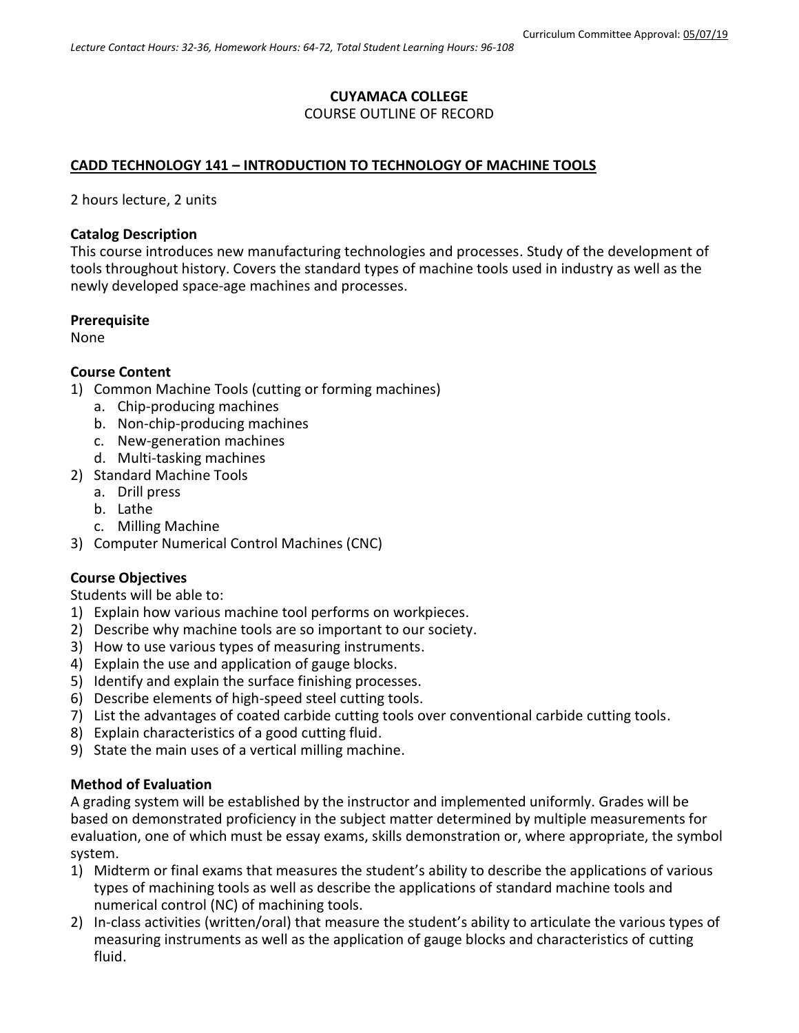#### **CUYAMACA COLLEGE** COURSE OUTLINE OF RECORD

# **CADD TECHNOLOGY 141 – INTRODUCTION TO TECHNOLOGY OF MACHINE TOOLS**

2 hours lecture, 2 units

### **Catalog Description**

This course introduces new manufacturing technologies and processes. Study of the development of tools throughout history. Covers the standard types of machine tools used in industry as well as the newly developed space-age machines and processes.

### **Prerequisite**

None

### **Course Content**

- 1) Common Machine Tools (cutting or forming machines)
	- a. Chip-producing machines
	- b. Non-chip-producing machines
	- c. New-generation machines
	- d. Multi-tasking machines
- 2) Standard Machine Tools
	- a. Drill press
	- b. Lathe
	- c. Milling Machine
- 3) Computer Numerical Control Machines (CNC)

## **Course Objectives**

Students will be able to:

- 1) Explain how various machine tool performs on workpieces.
- 2) Describe why machine tools are so important to our society.
- 3) How to use various types of measuring instruments.
- 4) Explain the use and application of gauge blocks.
- 5) Identify and explain the surface finishing processes.
- 6) Describe elements of high-speed steel cutting tools.
- 7) List the advantages of coated carbide cutting tools over conventional carbide cutting tools.
- 8) Explain characteristics of a good cutting fluid.
- 9) State the main uses of a vertical milling machine.

## **Method of Evaluation**

A grading system will be established by the instructor and implemented uniformly. Grades will be based on demonstrated proficiency in the subject matter determined by multiple measurements for evaluation, one of which must be essay exams, skills demonstration or, where appropriate, the symbol system.

- 1) Midterm or final exams that measures the student's ability to describe the applications of various types of machining tools as well as describe the applications of standard machine tools and numerical control (NC) of machining tools.
- 2) In-class activities (written/oral) that measure the student's ability to articulate the various types of measuring instruments as well as the application of gauge blocks and characteristics of cutting fluid.